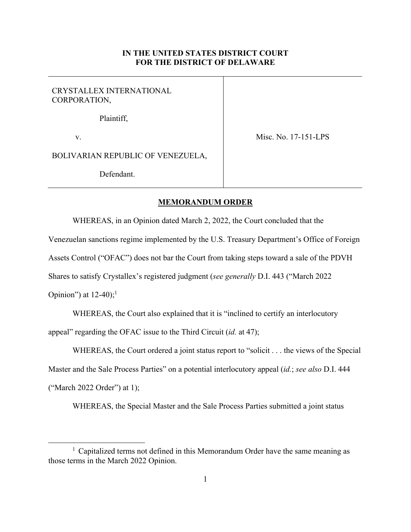## **IN THE UNITED STATES DISTRICT COURT FOR THE DISTRICT OF DELAWARE**

## CRYSTALLEX INTERNATIONAL CORPORATION,

Plaintiff,

v.

Misc. No. 17-151-LPS

BOLIVARIAN REPUBLIC OF VENEZUELA,

Defendant.

## **MEMORANDUM ORDER**

WHEREAS, in an Opinion dated March 2, 2022, the Court concluded that the

Venezuelan sanctions regime implemented by the U.S. Treasury Department's Office of Foreign

Assets Control ("OFAC") does not bar the Court from taking steps toward a sale of the PDVH

Shares to satisfy Crystallex's registered judgment (*see generally* D.I. 443 ("March 2022

Opinion") at  $12-40$ ;<sup>1</sup>

WHEREAS, the Court also explained that it is "inclined to certify an interlocutory

appeal" regarding the OFAC issue to the Third Circuit (*id.* at 47);

WHEREAS, the Court ordered a joint status report to "solicit . . . the views of the Special Master and the Sale Process Parties" on a potential interlocutory appeal (*id.*; *see also* D.I. 444 ("March 2022 Order") at 1);

WHEREAS, the Special Master and the Sale Process Parties submitted a joint status

<sup>&</sup>lt;sup>1</sup> Capitalized terms not defined in this Memorandum Order have the same meaning as those terms in the March 2022 Opinion.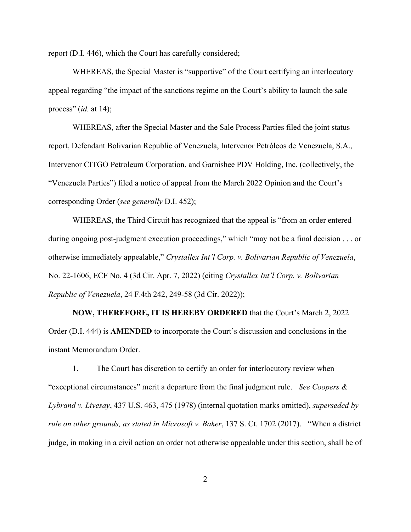report (D.I. 446), which the Court has carefully considered;

WHEREAS, the Special Master is "supportive" of the Court certifying an interlocutory appeal regarding "the impact of the sanctions regime on the Court's ability to launch the sale process" (*id.* at 14);

WHEREAS, after the Special Master and the Sale Process Parties filed the joint status report, Defendant Bolivarian Republic of Venezuela, Intervenor Petróleos de Venezuela, S.A., Intervenor CITGO Petroleum Corporation, and Garnishee PDV Holding, Inc. (collectively, the "Venezuela Parties") filed a notice of appeal from the March 2022 Opinion and the Court's corresponding Order (*see generally* D.I. 452);

WHEREAS, the Third Circuit has recognized that the appeal is "from an order entered during ongoing post-judgment execution proceedings," which "may not be a final decision . . . or otherwise immediately appealable," *Crystallex Int'l Corp. v. Bolivarian Republic of Venezuela*, No. 22-1606, ECF No. 4 (3d Cir. Apr. 7, 2022) (citing *Crystallex Int'l Corp. v. Bolivarian Republic of Venezuela*, 24 F.4th 242, 249-58 (3d Cir. 2022));

**NOW, THEREFORE, IT IS HEREBY ORDERED** that the Court's March 2, 2022 Order (D.I. 444) is **AMENDED** to incorporate the Court's discussion and conclusions in the instant Memorandum Order.

1. The Court has discretion to certify an order for interlocutory review when "exceptional circumstances" merit a departure from the final judgment rule. *See Coopers & Lybrand v. Livesay*, 437 U.S. 463, 475 (1978) (internal quotation marks omitted), *superseded by rule on other grounds, as stated in Microsoft v. Baker*, 137 S. Ct. 1702 (2017). "When a district judge, in making in a civil action an order not otherwise appealable under this section, shall be of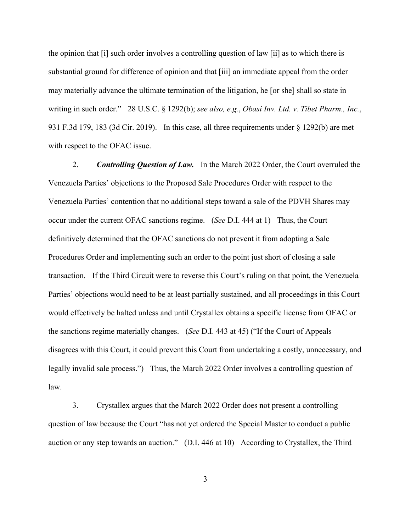the opinion that [i] such order involves a controlling question of law [ii] as to which there is substantial ground for difference of opinion and that [iii] an immediate appeal from the order may materially advance the ultimate termination of the litigation, he [or she] shall so state in writing in such order." 28 U.S.C. § 1292(b); *see also, e.g.*, *Obasi Inv. Ltd. v. Tibet Pharm., Inc.*, 931 F.3d 179, 183 (3d Cir. 2019). In this case, all three requirements under § 1292(b) are met with respect to the OFAC issue.

2. *Controlling Question of Law.* In the March 2022 Order, the Court overruled the Venezuela Parties' objections to the Proposed Sale Procedures Order with respect to the Venezuela Parties' contention that no additional steps toward a sale of the PDVH Shares may occur under the current OFAC sanctions regime. (*See* D.I. 444 at 1) Thus, the Court definitively determined that the OFAC sanctions do not prevent it from adopting a Sale Procedures Order and implementing such an order to the point just short of closing a sale transaction. If the Third Circuit were to reverse this Court's ruling on that point, the Venezuela Parties' objections would need to be at least partially sustained, and all proceedings in this Court would effectively be halted unless and until Crystallex obtains a specific license from OFAC or the sanctions regime materially changes. (*See* D.I. 443 at 45) ("If the Court of Appeals disagrees with this Court, it could prevent this Court from undertaking a costly, unnecessary, and legally invalid sale process.") Thus, the March 2022 Order involves a controlling question of law.

3. Crystallex argues that the March 2022 Order does not present a controlling question of law because the Court "has not yet ordered the Special Master to conduct a public auction or any step towards an auction." (D.I. 446 at 10) According to Crystallex, the Third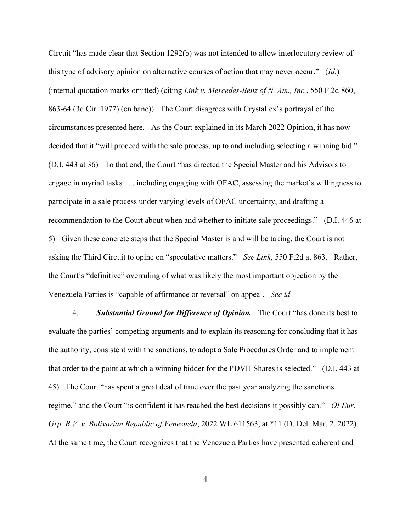Circuit "has made clear that Section 1292(b) was not intended to allow interlocutory review of this type of advisory opinion on alternative courses of action that may never occur." (*Id.*) (internal quotation marks omitted) (citing *Link v. Mercedes-Benz of N. Am., Inc.*, 550 F.2d 860, 863-64 (3d Cir. 1977) (en banc)) The Court disagrees with Crystallex's portrayal of the circumstances presented here. As the Court explained in its March 2022 Opinion, it has now decided that it "will proceed with the sale process, up to and including selecting a winning bid." (D.I. 443 at 36) To that end, the Court "has directed the Special Master and his Advisors to engage in myriad tasks . . . including engaging with OFAC, assessing the market's willingness to participate in a sale process under varying levels of OFAC uncertainty, and drafting a recommendation to the Court about when and whether to initiate sale proceedings." (D.I. 446 at 5) Given these concrete steps that the Special Master is and will be taking, the Court is not asking the Third Circuit to opine on "speculative matters." *See Link*, 550 F.2d at 863. Rather, the Court's "definitive" overruling of what was likely the most important objection by the Venezuela Parties is "capable of affirmance or reversal" on appeal. *See id.*

4. *Substantial Ground for Difference of Opinion.* The Court "has done its best to evaluate the parties' competing arguments and to explain its reasoning for concluding that it has the authority, consistent with the sanctions, to adopt a Sale Procedures Order and to implement that order to the point at which a winning bidder for the PDVH Shares is selected." (D.I. 443 at 45) The Court "has spent a great deal of time over the past year analyzing the sanctions regime," and the Court "is confident it has reached the best decisions it possibly can." *OI Eur. Grp. B.V. v. Bolivarian Republic of Venezuela*, 2022 WL 611563, at \*11 (D. Del. Mar. 2, 2022). At the same time, the Court recognizes that the Venezuela Parties have presented coherent and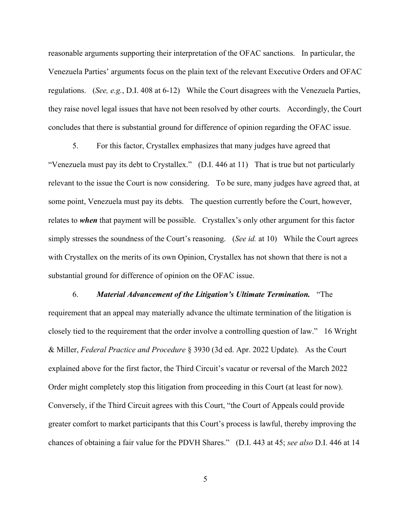reasonable arguments supporting their interpretation of the OFAC sanctions. In particular, the Venezuela Parties' arguments focus on the plain text of the relevant Executive Orders and OFAC regulations. (*See, e.g.*, D.I. 408 at 6-12) While the Court disagrees with the Venezuela Parties, they raise novel legal issues that have not been resolved by other courts. Accordingly, the Court concludes that there is substantial ground for difference of opinion regarding the OFAC issue.

5. For this factor, Crystallex emphasizes that many judges have agreed that "Venezuela must pay its debt to Crystallex." (D.I. 446 at 11) That is true but not particularly relevant to the issue the Court is now considering. To be sure, many judges have agreed that, at some point, Venezuela must pay its debts. The question currently before the Court, however, relates to *when* that payment will be possible. Crystallex's only other argument for this factor simply stresses the soundness of the Court's reasoning. (*See id.* at 10) While the Court agrees with Crystallex on the merits of its own Opinion, Crystallex has not shown that there is not a substantial ground for difference of opinion on the OFAC issue.

6. *Material Advancement of the Litigation's Ultimate Termination.* "The requirement that an appeal may materially advance the ultimate termination of the litigation is closely tied to the requirement that the order involve a controlling question of law." 16 Wright & Miller, *Federal Practice and Procedure* § 3930 (3d ed. Apr. 2022 Update). As the Court explained above for the first factor, the Third Circuit's vacatur or reversal of the March 2022 Order might completely stop this litigation from proceeding in this Court (at least for now). Conversely, if the Third Circuit agrees with this Court, "the Court of Appeals could provide greater comfort to market participants that this Court's process is lawful, thereby improving the chances of obtaining a fair value for the PDVH Shares." (D.I. 443 at 45; *see also* D.I. 446 at 14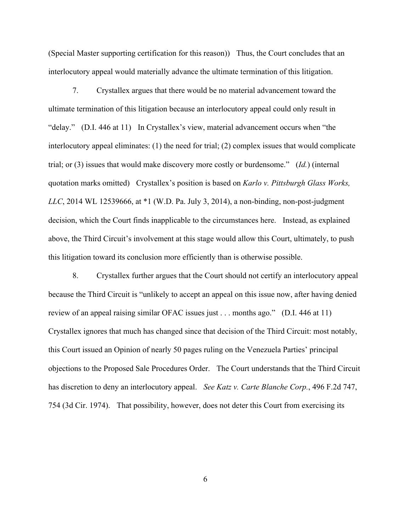(Special Master supporting certification for this reason)) Thus, the Court concludes that an interlocutory appeal would materially advance the ultimate termination of this litigation.

7. Crystallex argues that there would be no material advancement toward the ultimate termination of this litigation because an interlocutory appeal could only result in "delay." (D.I. 446 at 11) In Crystallex's view, material advancement occurs when "the interlocutory appeal eliminates: (1) the need for trial; (2) complex issues that would complicate trial; or (3) issues that would make discovery more costly or burdensome." (*Id.*) (internal quotation marks omitted) Crystallex's position is based on *Karlo v. Pittsburgh Glass Works, LLC*, 2014 WL 12539666, at \*1 (W.D. Pa. July 3, 2014), a non-binding, non-post-judgment decision, which the Court finds inapplicable to the circumstances here. Instead, as explained above, the Third Circuit's involvement at this stage would allow this Court, ultimately, to push this litigation toward its conclusion more efficiently than is otherwise possible.

8. Crystallex further argues that the Court should not certify an interlocutory appeal because the Third Circuit is "unlikely to accept an appeal on this issue now, after having denied review of an appeal raising similar OFAC issues just . . . months ago." (D.I. 446 at 11) Crystallex ignores that much has changed since that decision of the Third Circuit: most notably, this Court issued an Opinion of nearly 50 pages ruling on the Venezuela Parties' principal objections to the Proposed Sale Procedures Order. The Court understands that the Third Circuit has discretion to deny an interlocutory appeal. *See Katz v. Carte Blanche Corp.*, 496 F.2d 747, 754 (3d Cir. 1974). That possibility, however, does not deter this Court from exercising its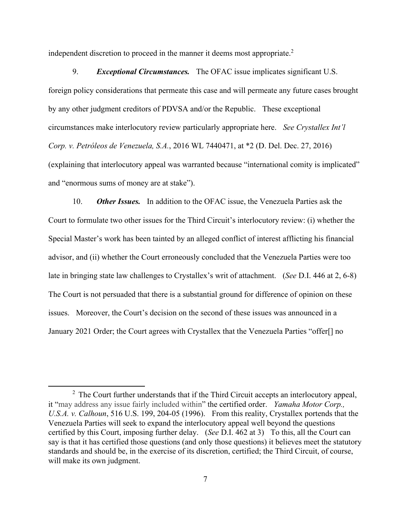independent discretion to proceed in the manner it deems most appropriate. $2$ 

9. *Exceptional Circumstances.* The OFAC issue implicates significant U.S. foreign policy considerations that permeate this case and will permeate any future cases brought by any other judgment creditors of PDVSA and/or the Republic. These exceptional circumstances make interlocutory review particularly appropriate here. *See Crystallex Int'l Corp. v. Petróleos de Venezuela, S.A.*, 2016 WL 7440471, at \*2 (D. Del. Dec. 27, 2016) (explaining that interlocutory appeal was warranted because "international comity is implicated" and "enormous sums of money are at stake").

10. *Other Issues.* In addition to the OFAC issue, the Venezuela Parties ask the Court to formulate two other issues for the Third Circuit's interlocutory review: (i) whether the Special Master's work has been tainted by an alleged conflict of interest afflicting his financial advisor, and (ii) whether the Court erroneously concluded that the Venezuela Parties were too late in bringing state law challenges to Crystallex's writ of attachment. (*See* D.I. 446 at 2, 6-8) The Court is not persuaded that there is a substantial ground for difference of opinion on these issues. Moreover, the Court's decision on the second of these issues was announced in a January 2021 Order; the Court agrees with Crystallex that the Venezuela Parties "offer[] no

 $2$  The Court further understands that if the Third Circuit accepts an interlocutory appeal, it "may address any issue fairly included within" the certified order. *Yamaha Motor Corp., U.S.A. v. Calhoun*, 516 U.S. 199, 204-05 (1996). From this reality, Crystallex portends that the Venezuela Parties will seek to expand the interlocutory appeal well beyond the questions certified by this Court, imposing further delay. (*See* D.I. 462 at 3) To this, all the Court can say is that it has certified those questions (and only those questions) it believes meet the statutory standards and should be, in the exercise of its discretion, certified; the Third Circuit, of course, will make its own judgment.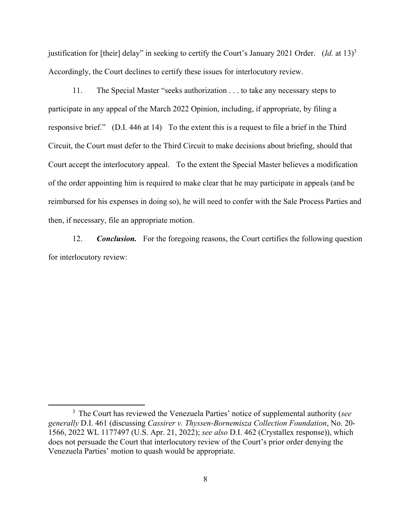justification for [their] delay" in seeking to certify the Court's January 2021 Order. (*Id.* at 13)3 Accordingly, the Court declines to certify these issues for interlocutory review.

11. The Special Master "seeks authorization . . . to take any necessary steps to participate in any appeal of the March 2022 Opinion, including, if appropriate, by filing a responsive brief." (D.I. 446 at 14) To the extent this is a request to file a brief in the Third Circuit, the Court must defer to the Third Circuit to make decisions about briefing, should that Court accept the interlocutory appeal. To the extent the Special Master believes a modification of the order appointing him is required to make clear that he may participate in appeals (and be reimbursed for his expenses in doing so), he will need to confer with the Sale Process Parties and then, if necessary, file an appropriate motion.

12. *Conclusion.* For the foregoing reasons, the Court certifies the following question for interlocutory review:

<sup>3</sup> The Court has reviewed the Venezuela Parties' notice of supplemental authority (*see generally* D.I. 461 (discussing *Cassirer v. Thyssen-Bornemisza Collection Foundation*, No. 20- 1566, 2022 WL 1177497 (U.S. Apr. 21, 2022); *see also* D.I. 462 (Crystallex response)), which does not persuade the Court that interlocutory review of the Court's prior order denying the Venezuela Parties' motion to quash would be appropriate.